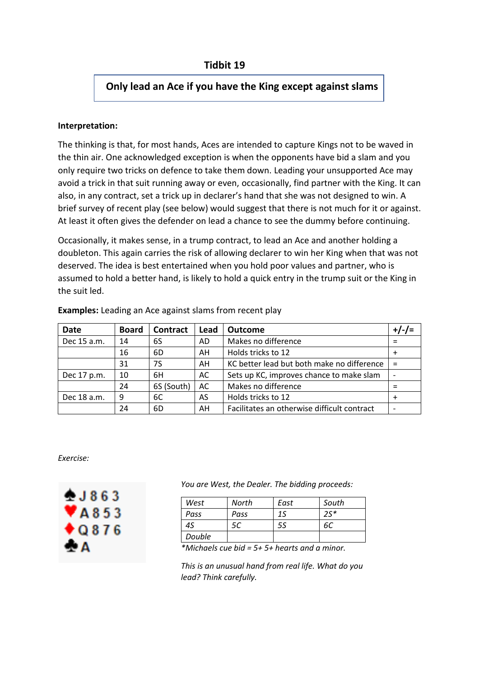## **Only lead an Ace if you have the King except against slams**

## **Interpretation:**

The thinking is that, for most hands, Aces are intended to capture Kings not to be waved in the thin air. One acknowledged exception is when the opponents have bid a slam and you only require two tricks on defence to take them down. Leading your unsupported Ace may avoid a trick in that suit running away or even, occasionally, find partner with the King. It can also, in any contract, set a trick up in declarer's hand that she was not designed to win. A brief survey of recent play (see below) would suggest that there is not much for it or against. At least it often gives the defender on lead a chance to see the dummy before continuing.

Occasionally, it makes sense, in a trump contract, to lead an Ace and another holding a doubleton. This again carries the risk of allowing declarer to win her King when that was not deserved. The idea is best entertained when you hold poor values and partner, who is assumed to hold a better hand, is likely to hold a quick entry in the trump suit or the King in the suit led.

| <b>Date</b> | <b>Board</b> | Contract   | Lead | <b>Outcome</b>                              |     |
|-------------|--------------|------------|------|---------------------------------------------|-----|
| Dec 15 a.m. | 14           | 6S         | AD   | Makes no difference                         |     |
|             | 16           | 6D         | AH   | Holds tricks to 12                          |     |
|             | 31           | 7S         | AH   | KC better lead but both make no difference  | $=$ |
| Dec 17 p.m. | 10           | 6H         | AC   | Sets up KC, improves chance to make slam    |     |
|             | 24           | 6S (South) | AC   | Makes no difference                         |     |
| Dec 18 a.m. | 9            | 6C         | AS   | Holds tricks to 12                          |     |
|             | 24           | 6D         | AH   | Facilitates an otherwise difficult contract |     |

**Examples:** Leading an Ace against slams from recent play

*Exercise:*



*You are West, the Dealer. The bidding proceeds:*

| West   | North | East | South |
|--------|-------|------|-------|
| Pass   | Pass  | 15   | $25*$ |
| 45     |       | 5S   |       |
| Double |       |      |       |

*\*Michaels cue bid = 5+ 5+ hearts and a minor.*

*This is an unusual hand from real life. What do you lead? Think carefully.*